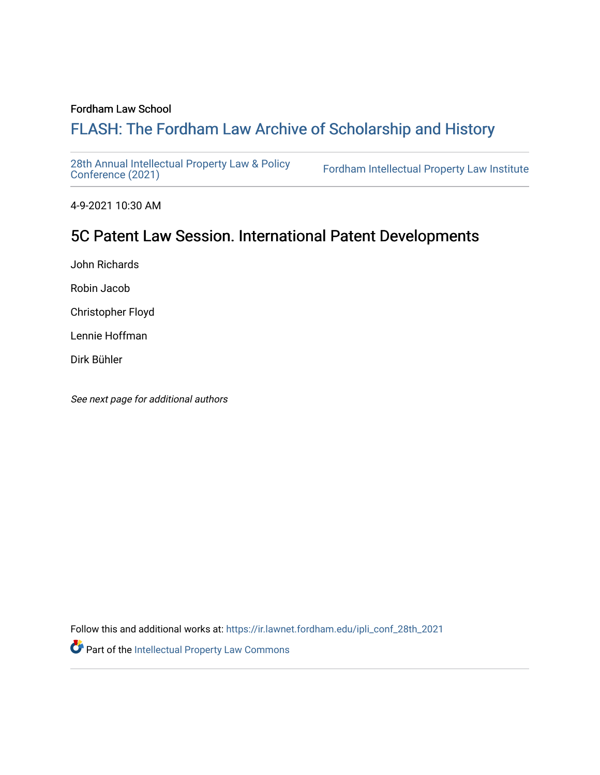### Fordham Law School

# FLASH: The For[dham Law Archive of Scholarship and Hist](https://ir.lawnet.fordham.edu/)ory

[28th Annual Intellectual Property Law & Policy](https://ir.lawnet.fordham.edu/ipli_conf_28th_2021)<br>Conference (2021)

Fordham Intellectual Property Law Institute

4-9-2021 10:30 AM

# 5C Patent Law Session. International Patent Developments

John Richards

Robin Jacob

Christopher Floyd

Lennie Hoffman

Dirk Bühler

See next page for additional authors

Follow this and additional works at: [https://ir.lawnet.fordham.edu/ipli\\_conf\\_28th\\_2021](https://ir.lawnet.fordham.edu/ipli_conf_28th_2021?utm_source=ir.lawnet.fordham.edu%2Fipli_conf_28th_2021%2F15&utm_medium=PDF&utm_campaign=PDFCoverPages) 

Part of the [Intellectual Property Law Commons](http://network.bepress.com/hgg/discipline/896?utm_source=ir.lawnet.fordham.edu%2Fipli_conf_28th_2021%2F15&utm_medium=PDF&utm_campaign=PDFCoverPages)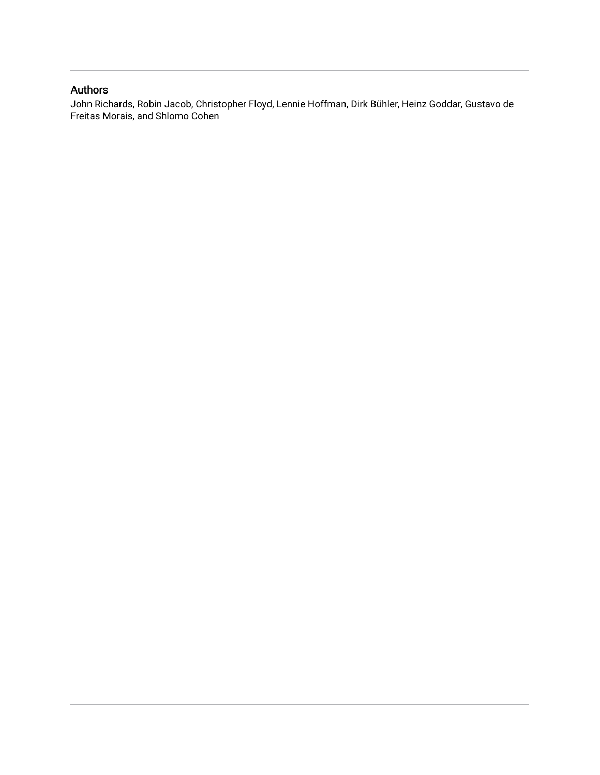## Authors

John Richards, Robin Jacob, Christopher Floyd, Lennie Hoffman, Dirk Bühler, Heinz Goddar, Gustavo de Freitas Morais, and Shlomo Cohen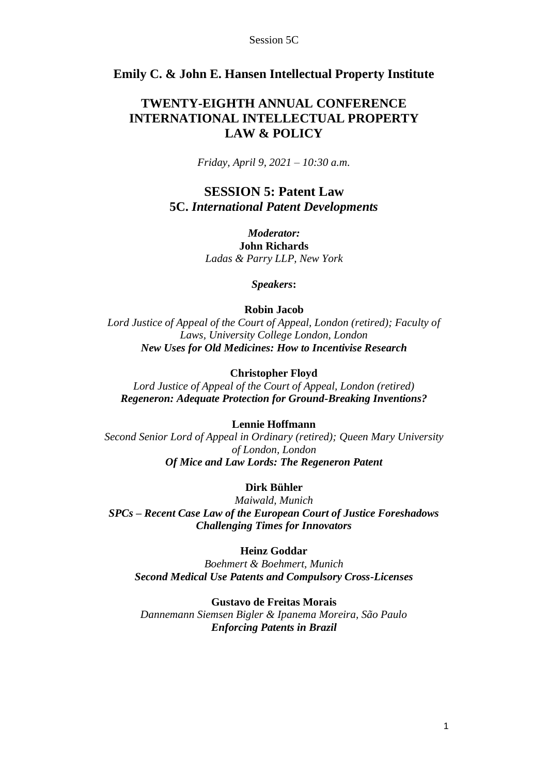## **Emily C. & John E. Hansen Intellectual Property Institute**

## **TWENTY-EIGHTH ANNUAL CONFERENCE INTERNATIONAL INTELLECTUAL PROPERTY LAW & POLICY**

*Friday, April 9, 2021 – 10:30 a.m.*

## **SESSION 5: Patent Law 5C.** *International Patent Developments*

*Moderator:* **John Richards** *Ladas & Parry LLP, New York*

*Speakers***:**

### **Robin Jacob**

*Lord Justice of Appeal of the Court of Appeal, London (retired); Faculty of Laws, University College London, London New Uses for Old Medicines: How to Incentivise Research*

#### **Christopher Floyd**

*Lord Justice of Appeal of the Court of Appeal, London (retired) Regeneron: Adequate Protection for Ground-Breaking Inventions?*

#### **Lennie Hoffmann**

*Second Senior Lord of Appeal in Ordinary (retired); Queen Mary University of London, London Of Mice and Law Lords: The Regeneron Patent*

## **Dirk Bühler**

*Maiwald, Munich SPCs – Recent Case Law of the European Court of Justice Foreshadows Challenging Times for Innovators*

## **Heinz Goddar**

*Boehmert & Boehmert, Munich Second Medical Use Patents and Compulsory Cross-Licenses*

#### **Gustavo de Freitas Morais**

*Dannemann Siemsen Bigler & Ipanema Moreira, São Paulo Enforcing Patents in Brazil*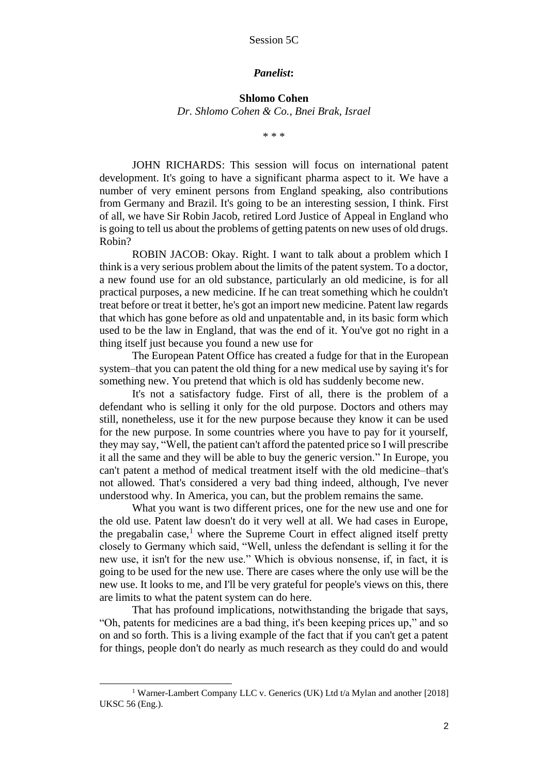#### *Panelist***:**

**Shlomo Cohen** *Dr. Shlomo Cohen & Co., Bnei Brak, Israel*

\* \* \*

JOHN RICHARDS: This session will focus on international patent development. It's going to have a significant pharma aspect to it. We have a number of very eminent persons from England speaking, also contributions from Germany and Brazil. It's going to be an interesting session, I think. First of all, we have Sir Robin Jacob, retired Lord Justice of Appeal in England who is going to tell us about the problems of getting patents on new uses of old drugs. Robin?

ROBIN JACOB: Okay. Right. I want to talk about a problem which I think is a very serious problem about the limits of the patent system. To a doctor, a new found use for an old substance, particularly an old medicine, is for all practical purposes, a new medicine. If he can treat something which he couldn't treat before or treat it better, he's got an import new medicine. Patent law regards that which has gone before as old and unpatentable and, in its basic form which used to be the law in England, that was the end of it. You've got no right in a thing itself just because you found a new use for

The European Patent Office has created a fudge for that in the European system–that you can patent the old thing for a new medical use by saying it's for something new. You pretend that which is old has suddenly become new.

It's not a satisfactory fudge. First of all, there is the problem of a defendant who is selling it only for the old purpose. Doctors and others may still, nonetheless, use it for the new purpose because they know it can be used for the new purpose. In some countries where you have to pay for it yourself, they may say, "Well, the patient can't afford the patented price so I will prescribe it all the same and they will be able to buy the generic version." In Europe, you can't patent a method of medical treatment itself with the old medicine–that's not allowed. That's considered a very bad thing indeed, although, I've never understood why. In America, you can, but the problem remains the same.

What you want is two different prices, one for the new use and one for the old use. Patent law doesn't do it very well at all. We had cases in Europe, the pregabalin case, $<sup>1</sup>$  where the Supreme Court in effect aligned itself pretty</sup> closely to Germany which said, "Well, unless the defendant is selling it for the new use, it isn't for the new use." Which is obvious nonsense, if, in fact, it is going to be used for the new use. There are cases where the only use will be the new use. It looks to me, and I'll be very grateful for people's views on this, there are limits to what the patent system can do here.

That has profound implications, notwithstanding the brigade that says, "Oh, patents for medicines are a bad thing, it's been keeping prices up," and so on and so forth. This is a living example of the fact that if you can't get a patent for things, people don't do nearly as much research as they could do and would

<sup>&</sup>lt;sup>1</sup> Warner-Lambert Company LLC v. Generics (UK) Ltd t/a Mylan and another [2018] UKSC 56 (Eng.).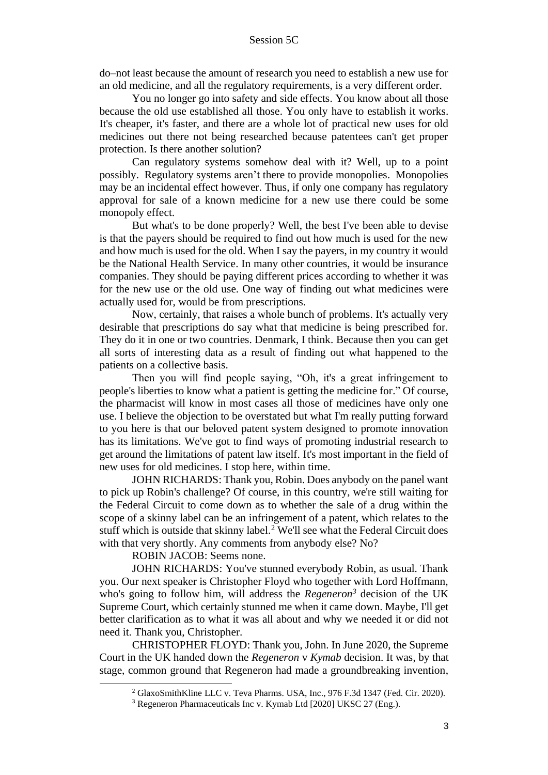do–not least because the amount of research you need to establish a new use for an old medicine, and all the regulatory requirements, is a very different order.

You no longer go into safety and side effects. You know about all those because the old use established all those. You only have to establish it works. It's cheaper, it's faster, and there are a whole lot of practical new uses for old medicines out there not being researched because patentees can't get proper protection. Is there another solution?

Can regulatory systems somehow deal with it? Well, up to a point possibly. Regulatory systems aren't there to provide monopolies. Monopolies may be an incidental effect however. Thus, if only one company has regulatory approval for sale of a known medicine for a new use there could be some monopoly effect.

But what's to be done properly? Well, the best I've been able to devise is that the payers should be required to find out how much is used for the new and how much is used for the old. When I say the payers, in my country it would be the National Health Service. In many other countries, it would be insurance companies. They should be paying different prices according to whether it was for the new use or the old use. One way of finding out what medicines were actually used for, would be from prescriptions.

Now, certainly, that raises a whole bunch of problems. It's actually very desirable that prescriptions do say what that medicine is being prescribed for. They do it in one or two countries. Denmark, I think. Because then you can get all sorts of interesting data as a result of finding out what happened to the patients on a collective basis.

Then you will find people saying, "Oh, it's a great infringement to people's liberties to know what a patient is getting the medicine for." Of course, the pharmacist will know in most cases all those of medicines have only one use. I believe the objection to be overstated but what I'm really putting forward to you here is that our beloved patent system designed to promote innovation has its limitations. We've got to find ways of promoting industrial research to get around the limitations of patent law itself. It's most important in the field of new uses for old medicines. I stop here, within time.

JOHN RICHARDS: Thank you, Robin. Does anybody on the panel want to pick up Robin's challenge? Of course, in this country, we're still waiting for the Federal Circuit to come down as to whether the sale of a drug within the scope of a skinny label can be an infringement of a patent, which relates to the stuff which is outside that skinny label. <sup>2</sup> We'll see what the Federal Circuit does with that very shortly. Any comments from anybody else? No?

ROBIN JACOB: Seems none.

JOHN RICHARDS: You've stunned everybody Robin, as usual. Thank you. Our next speaker is Christopher Floyd who together with Lord Hoffmann, who's going to follow him, will address the *Regeneron<sup>3</sup>* decision of the UK Supreme Court, which certainly stunned me when it came down. Maybe, I'll get better clarification as to what it was all about and why we needed it or did not need it. Thank you, Christopher.

CHRISTOPHER FLOYD: Thank you, John. In June 2020, the Supreme Court in the UK handed down the *Regeneron* v *Kymab* decision. It was, by that stage, common ground that Regeneron had made a groundbreaking invention,

<sup>2</sup> GlaxoSmithKline LLC v. Teva Pharms. USA, Inc., 976 F.3d 1347 (Fed. Cir. 2020).

<sup>3</sup> Regeneron Pharmaceuticals Inc v. Kymab Ltd [2020] UKSC 27 (Eng.).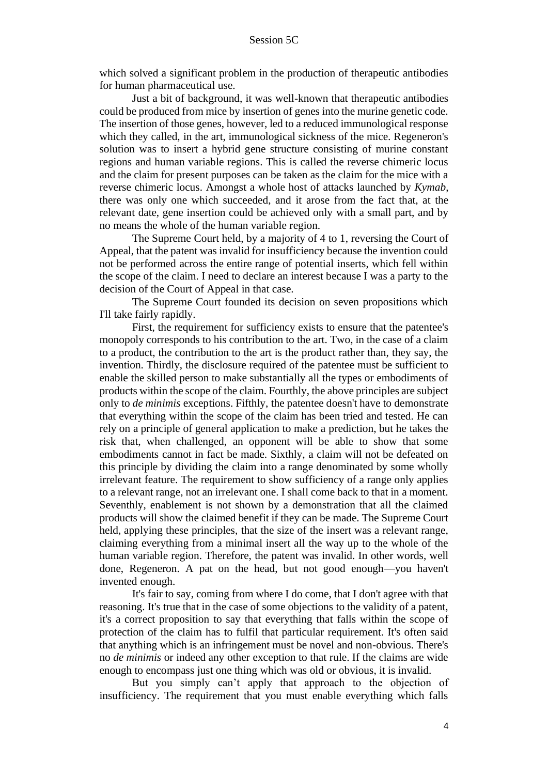which solved a significant problem in the production of therapeutic antibodies for human pharmaceutical use.

Just a bit of background, it was well-known that therapeutic antibodies could be produced from mice by insertion of genes into the murine genetic code. The insertion of those genes, however, led to a reduced immunological response which they called, in the art, immunological sickness of the mice. Regeneron's solution was to insert a hybrid gene structure consisting of murine constant regions and human variable regions. This is called the reverse chimeric locus and the claim for present purposes can be taken as the claim for the mice with a reverse chimeric locus. Amongst a whole host of attacks launched by *Kymab*, there was only one which succeeded, and it arose from the fact that, at the relevant date, gene insertion could be achieved only with a small part, and by no means the whole of the human variable region.

The Supreme Court held, by a majority of 4 to 1, reversing the Court of Appeal, that the patent was invalid for insufficiency because the invention could not be performed across the entire range of potential inserts, which fell within the scope of the claim. I need to declare an interest because I was a party to the decision of the Court of Appeal in that case.

The Supreme Court founded its decision on seven propositions which I'll take fairly rapidly.

First, the requirement for sufficiency exists to ensure that the patentee's monopoly corresponds to his contribution to the art. Two, in the case of a claim to a product, the contribution to the art is the product rather than, they say, the invention. Thirdly, the disclosure required of the patentee must be sufficient to enable the skilled person to make substantially all the types or embodiments of products within the scope of the claim. Fourthly, the above principles are subject only to *de minimis* exceptions. Fifthly, the patentee doesn't have to demonstrate that everything within the scope of the claim has been tried and tested. He can rely on a principle of general application to make a prediction, but he takes the risk that, when challenged, an opponent will be able to show that some embodiments cannot in fact be made. Sixthly, a claim will not be defeated on this principle by dividing the claim into a range denominated by some wholly irrelevant feature. The requirement to show sufficiency of a range only applies to a relevant range, not an irrelevant one. I shall come back to that in a moment. Seventhly, enablement is not shown by a demonstration that all the claimed products will show the claimed benefit if they can be made. The Supreme Court held, applying these principles, that the size of the insert was a relevant range, claiming everything from a minimal insert all the way up to the whole of the human variable region. Therefore, the patent was invalid. In other words, well done, Regeneron. A pat on the head, but not good enough—you haven't invented enough.

It's fair to say, coming from where I do come, that I don't agree with that reasoning. It's true that in the case of some objections to the validity of a patent, it's a correct proposition to say that everything that falls within the scope of protection of the claim has to fulfil that particular requirement. It's often said that anything which is an infringement must be novel and non-obvious. There's no *de minimis* or indeed any other exception to that rule. If the claims are wide enough to encompass just one thing which was old or obvious, it is invalid.

But you simply can't apply that approach to the objection of insufficiency. The requirement that you must enable everything which falls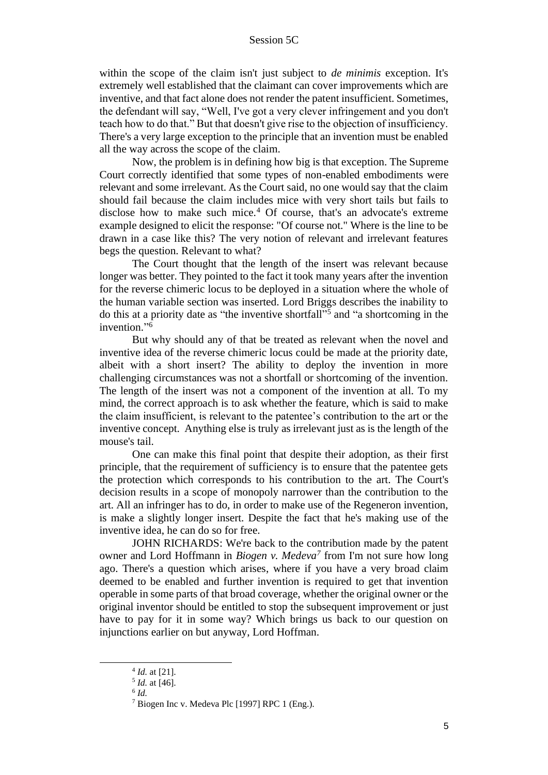within the scope of the claim isn't just subject to *de minimis* exception. It's extremely well established that the claimant can cover improvements which are inventive, and that fact alone does not render the patent insufficient. Sometimes, the defendant will say, "Well, I've got a very clever infringement and you don't teach how to do that." But that doesn't give rise to the objection of insufficiency. There's a very large exception to the principle that an invention must be enabled all the way across the scope of the claim.

Now, the problem is in defining how big is that exception. The Supreme Court correctly identified that some types of non-enabled embodiments were relevant and some irrelevant. As the Court said, no one would say that the claim should fail because the claim includes mice with very short tails but fails to disclose how to make such mice.<sup>4</sup> Of course, that's an advocate's extreme example designed to elicit the response: "Of course not." Where is the line to be drawn in a case like this? The very notion of relevant and irrelevant features begs the question. Relevant to what?

The Court thought that the length of the insert was relevant because longer was better. They pointed to the fact it took many years after the invention for the reverse chimeric locus to be deployed in a situation where the whole of the human variable section was inserted. Lord Briggs describes the inability to do this at a priority date as "the inventive shortfall" 5 and "a shortcoming in the invention." 6

But why should any of that be treated as relevant when the novel and inventive idea of the reverse chimeric locus could be made at the priority date, albeit with a short insert? The ability to deploy the invention in more challenging circumstances was not a shortfall or shortcoming of the invention. The length of the insert was not a component of the invention at all. To my mind, the correct approach is to ask whether the feature, which is said to make the claim insufficient, is relevant to the patentee's contribution to the art or the inventive concept. Anything else is truly as irrelevant just as is the length of the mouse's tail.

One can make this final point that despite their adoption, as their first principle, that the requirement of sufficiency is to ensure that the patentee gets the protection which corresponds to his contribution to the art. The Court's decision results in a scope of monopoly narrower than the contribution to the art. All an infringer has to do, in order to make use of the Regeneron invention, is make a slightly longer insert. Despite the fact that he's making use of the inventive idea, he can do so for free.

JOHN RICHARDS: We're back to the contribution made by the patent owner and Lord Hoffmann in *Biogen v. Medeva<sup>7</sup>* from I'm not sure how long ago. There's a question which arises, where if you have a very broad claim deemed to be enabled and further invention is required to get that invention operable in some parts of that broad coverage, whether the original owner or the original inventor should be entitled to stop the subsequent improvement or just have to pay for it in some way? Which brings us back to our question on injunctions earlier on but anyway, Lord Hoffman.

<sup>4</sup> *Id.* at [21].

<sup>5</sup> *Id.* at [46].

<sup>6</sup> *Id.*

<sup>7</sup> Biogen Inc v. Medeva Plc [1997] RPC 1 (Eng.).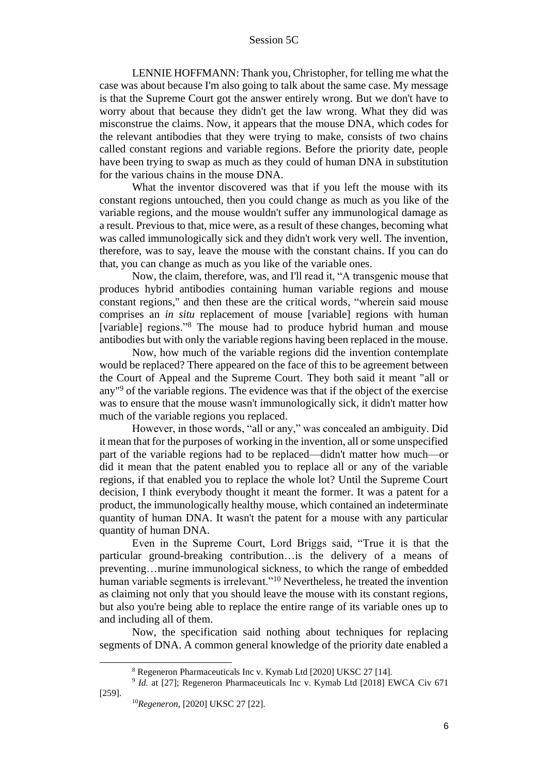LENNIE HOFFMANN: Thank you, Christopher, for telling me what the case was about because I'm also going to talk about the same case. My message is that the Supreme Court got the answer entirely wrong. But we don't have to worry about that because they didn't get the law wrong. What they did was misconstrue the claims. Now, it appears that the mouse DNA, which codes for the relevant antibodies that they were trying to make, consists of two chains called constant regions and variable regions. Before the priority date, people have been trying to swap as much as they could of human DNA in substitution for the various chains in the mouse DNA.

What the inventor discovered was that if you left the mouse with its constant regions untouched, then you could change as much as you like of the variable regions, and the mouse wouldn't suffer any immunological damage as a result. Previous to that, mice were, as a result of these changes, becoming what was called immunologically sick and they didn't work very well. The invention, therefore, was to say, leave the mouse with the constant chains. If you can do that, you can change as much as you like of the variable ones.

Now, the claim, therefore, was, and I'll read it, "A transgenic mouse that produces hybrid antibodies containing human variable regions and mouse constant regions," and then these are the critical words, "wherein said mouse comprises an *in situ* replacement of mouse [variable] regions with human [variable] regions."<sup>8</sup> The mouse had to produce hybrid human and mouse antibodies but with only the variable regions having been replaced in the mouse.

Now, how much of the variable regions did the invention contemplate would be replaced? There appeared on the face of this to be agreement between the Court of Appeal and the Supreme Court. They both said it meant "all or any" <sup>9</sup> of the variable regions. The evidence was that if the object of the exercise was to ensure that the mouse wasn't immunologically sick, it didn't matter how much of the variable regions you replaced.

However, in those words, "all or any," was concealed an ambiguity. Did it mean that for the purposes of working in the invention, all or some unspecified part of the variable regions had to be replaced—didn't matter how much—or did it mean that the patent enabled you to replace all or any of the variable regions, if that enabled you to replace the whole lot? Until the Supreme Court decision, I think everybody thought it meant the former. It was a patent for a product, the immunologically healthy mouse, which contained an indeterminate quantity of human DNA. It wasn't the patent for a mouse with any particular quantity of human DNA.

Even in the Supreme Court, Lord Briggs said, "True it is that the particular ground-breaking contribution…is the delivery of a means of preventing…murine immunological sickness, to which the range of embedded human variable segments is irrelevant."<sup>10</sup> Nevertheless, he treated the invention as claiming not only that you should leave the mouse with its constant regions, but also you're being able to replace the entire range of its variable ones up to and including all of them.

Now, the specification said nothing about techniques for replacing segments of DNA. A common general knowledge of the priority date enabled a

<sup>8</sup> Regeneron Pharmaceuticals Inc v. Kymab Ltd [2020] UKSC 27 [14].

<sup>&</sup>lt;sup>9</sup> *Id.* at [27]; Regeneron Pharmaceuticals Inc v. Kymab Ltd [2018] EWCA Civ 671 [259].

<sup>10</sup>*Regeneron*, [2020] UKSC 27 [22].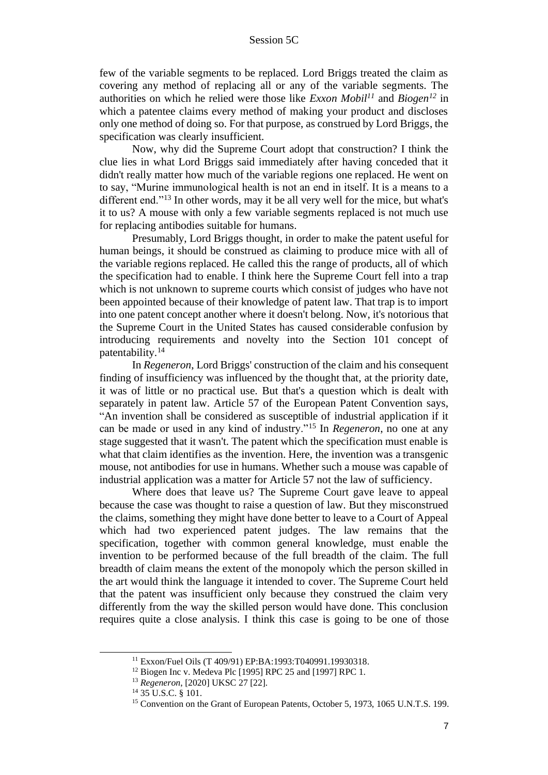few of the variable segments to be replaced. Lord Briggs treated the claim as covering any method of replacing all or any of the variable segments. The authorities on which he relied were those like *Exxon Mobil<sup>11</sup>* and *Biogen<sup>12</sup>* in which a patentee claims every method of making your product and discloses only one method of doing so. For that purpose, as construed by Lord Briggs, the specification was clearly insufficient.

Now, why did the Supreme Court adopt that construction? I think the clue lies in what Lord Briggs said immediately after having conceded that it didn't really matter how much of the variable regions one replaced. He went on to say, "Murine immunological health is not an end in itself. It is a means to a different end."<sup>13</sup> In other words, may it be all very well for the mice, but what's it to us? A mouse with only a few variable segments replaced is not much use for replacing antibodies suitable for humans.

Presumably, Lord Briggs thought, in order to make the patent useful for human beings, it should be construed as claiming to produce mice with all of the variable regions replaced. He called this the range of products, all of which the specification had to enable. I think here the Supreme Court fell into a trap which is not unknown to supreme courts which consist of judges who have not been appointed because of their knowledge of patent law. That trap is to import into one patent concept another where it doesn't belong. Now, it's notorious that the Supreme Court in the United States has caused considerable confusion by introducing requirements and novelty into the Section 101 concept of patentability.<sup>14</sup>

In *Regeneron*, Lord Briggs' construction of the claim and his consequent finding of insufficiency was influenced by the thought that, at the priority date, it was of little or no practical use. But that's a question which is dealt with separately in patent law. Article 57 of the European Patent Convention says, "An invention shall be considered as susceptible of industrial application if it can be made or used in any kind of industry."<sup>15</sup> In *Regeneron*, no one at any stage suggested that it wasn't. The patent which the specification must enable is what that claim identifies as the invention. Here, the invention was a transgenic mouse, not antibodies for use in humans. Whether such a mouse was capable of industrial application was a matter for Article 57 not the law of sufficiency.

Where does that leave us? The Supreme Court gave leave to appeal because the case was thought to raise a question of law. But they misconstrued the claims, something they might have done better to leave to a Court of Appeal which had two experienced patent judges. The law remains that the specification, together with common general knowledge, must enable the invention to be performed because of the full breadth of the claim. The full breadth of claim means the extent of the monopoly which the person skilled in the art would think the language it intended to cover. The Supreme Court held that the patent was insufficient only because they construed the claim very differently from the way the skilled person would have done. This conclusion requires quite a close analysis. I think this case is going to be one of those

<sup>11</sup> Exxon/Fuel Oils (T 409/91) EP:BA:1993:T040991.19930318.

<sup>&</sup>lt;sup>12</sup> Biogen Inc v. Medeva Plc [1995] RPC 25 and [1997] RPC 1.

<sup>13</sup> *Regeneron*, [2020] UKSC 27 [22].

<sup>14</sup> 35 U.S.C. § 101.

<sup>&</sup>lt;sup>15</sup> Convention on the Grant of European Patents, October 5, 1973, 1065 U.N.T.S. 199.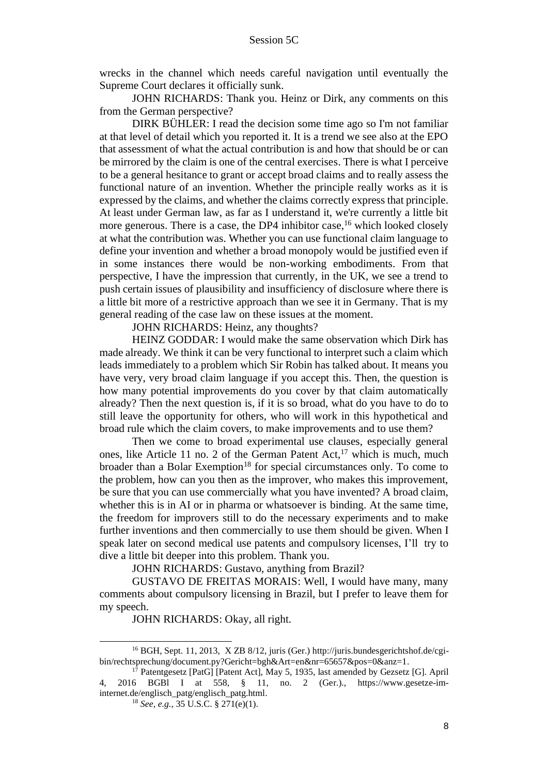wrecks in the channel which needs careful navigation until eventually the Supreme Court declares it officially sunk.

JOHN RICHARDS: Thank you. Heinz or Dirk, any comments on this from the German perspective?

DIRK BÜHLER: I read the decision some time ago so I'm not familiar at that level of detail which you reported it. It is a trend we see also at the EPO that assessment of what the actual contribution is and how that should be or can be mirrored by the claim is one of the central exercises. There is what I perceive to be a general hesitance to grant or accept broad claims and to really assess the functional nature of an invention. Whether the principle really works as it is expressed by the claims, and whether the claims correctly express that principle. At least under German law, as far as I understand it, we're currently a little bit more generous. There is a case, the DP4 inhibitor case,<sup>16</sup> which looked closely at what the contribution was. Whether you can use functional claim language to define your invention and whether a broad monopoly would be justified even if in some instances there would be non-working embodiments. From that perspective, I have the impression that currently, in the UK, we see a trend to push certain issues of plausibility and insufficiency of disclosure where there is a little bit more of a restrictive approach than we see it in Germany. That is my general reading of the case law on these issues at the moment.

JOHN RICHARDS: Heinz, any thoughts?

HEINZ GODDAR: I would make the same observation which Dirk has made already. We think it can be very functional to interpret such a claim which leads immediately to a problem which Sir Robin has talked about. It means you have very, very broad claim language if you accept this. Then, the question is how many potential improvements do you cover by that claim automatically already? Then the next question is, if it is so broad, what do you have to do to still leave the opportunity for others, who will work in this hypothetical and broad rule which the claim covers, to make improvements and to use them?

Then we come to broad experimental use clauses, especially general ones, like Article 11 no. 2 of the German Patent  $Act$ ,  $17$  which is much, much broader than a Bolar Exemption<sup>18</sup> for special circumstances only. To come to the problem, how can you then as the improver, who makes this improvement, be sure that you can use commercially what you have invented? A broad claim, whether this is in AI or in pharma or whatsoever is binding. At the same time, the freedom for improvers still to do the necessary experiments and to make further inventions and then commercially to use them should be given. When I speak later on second medical use patents and compulsory licenses, I'll try to dive a little bit deeper into this problem. Thank you.

JOHN RICHARDS: Gustavo, anything from Brazil?

GUSTAVO DE FREITAS MORAIS: Well, I would have many, many comments about compulsory licensing in Brazil, but I prefer to leave them for my speech.

JOHN RICHARDS: Okay, all right.

<sup>&</sup>lt;sup>16</sup> BGH, Sept. 11, 2013, X ZB 8/12, juris (Ger.) http://juris.bundesgerichtshof.de/cgibin/rechtsprechung/document.py?Gericht=bgh&Art=en&nr=65657&pos=0&anz=1.

<sup>&</sup>lt;sup>17</sup> Patentgesetz [PatG] [Patent Act], May 5, 1935, last amended by Gezsetz [G]. April 4, 2016 BGBl I at 558, § 11, no. 2 (Ger.)., https://www.gesetze-iminternet.de/englisch\_patg/englisch\_patg.html.

<sup>18</sup> *See, e.g.*, 35 U.S.C. § 271(e)(1).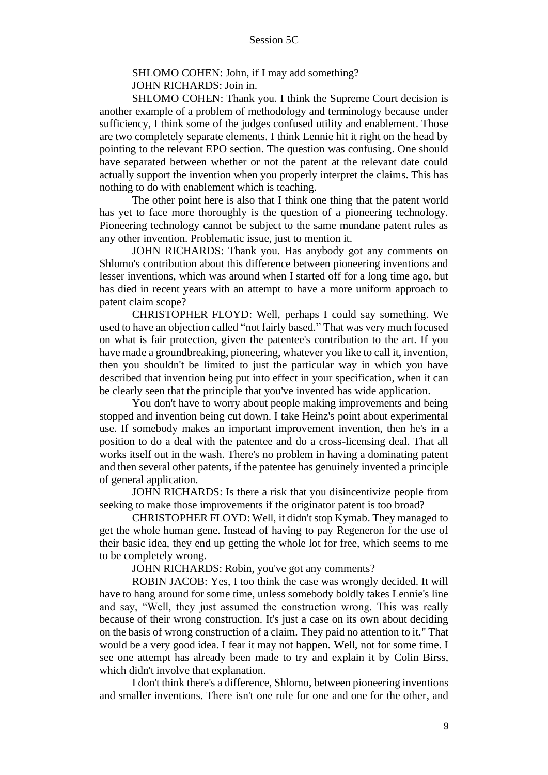## SHLOMO COHEN: John, if I may add something? JOHN RICHARDS: Join in.

SHLOMO COHEN: Thank you. I think the Supreme Court decision is another example of a problem of methodology and terminology because under sufficiency, I think some of the judges confused utility and enablement. Those are two completely separate elements. I think Lennie hit it right on the head by pointing to the relevant EPO section. The question was confusing. One should have separated between whether or not the patent at the relevant date could actually support the invention when you properly interpret the claims. This has nothing to do with enablement which is teaching.

The other point here is also that I think one thing that the patent world has yet to face more thoroughly is the question of a pioneering technology. Pioneering technology cannot be subject to the same mundane patent rules as any other invention. Problematic issue, just to mention it.

JOHN RICHARDS: Thank you. Has anybody got any comments on Shlomo's contribution about this difference between pioneering inventions and lesser inventions, which was around when I started off for a long time ago, but has died in recent years with an attempt to have a more uniform approach to patent claim scope?

CHRISTOPHER FLOYD: Well, perhaps I could say something. We used to have an objection called "not fairly based." That was very much focused on what is fair protection, given the patentee's contribution to the art. If you have made a groundbreaking, pioneering, whatever you like to call it, invention, then you shouldn't be limited to just the particular way in which you have described that invention being put into effect in your specification, when it can be clearly seen that the principle that you've invented has wide application.

You don't have to worry about people making improvements and being stopped and invention being cut down. I take Heinz's point about experimental use. If somebody makes an important improvement invention, then he's in a position to do a deal with the patentee and do a cross-licensing deal. That all works itself out in the wash. There's no problem in having a dominating patent and then several other patents, if the patentee has genuinely invented a principle of general application.

JOHN RICHARDS: Is there a risk that you disincentivize people from seeking to make those improvements if the originator patent is too broad?

CHRISTOPHER FLOYD: Well, it didn't stop Kymab. They managed to get the whole human gene. Instead of having to pay Regeneron for the use of their basic idea, they end up getting the whole lot for free, which seems to me to be completely wrong.

JOHN RICHARDS: Robin, you've got any comments?

ROBIN JACOB: Yes, I too think the case was wrongly decided. It will have to hang around for some time, unless somebody boldly takes Lennie's line and say, "Well, they just assumed the construction wrong. This was really because of their wrong construction. It's just a case on its own about deciding on the basis of wrong construction of a claim. They paid no attention to it." That would be a very good idea. I fear it may not happen. Well, not for some time. I see one attempt has already been made to try and explain it by Colin Birss, which didn't involve that explanation.

I don't think there's a difference, Shlomo, between pioneering inventions and smaller inventions. There isn't one rule for one and one for the other, and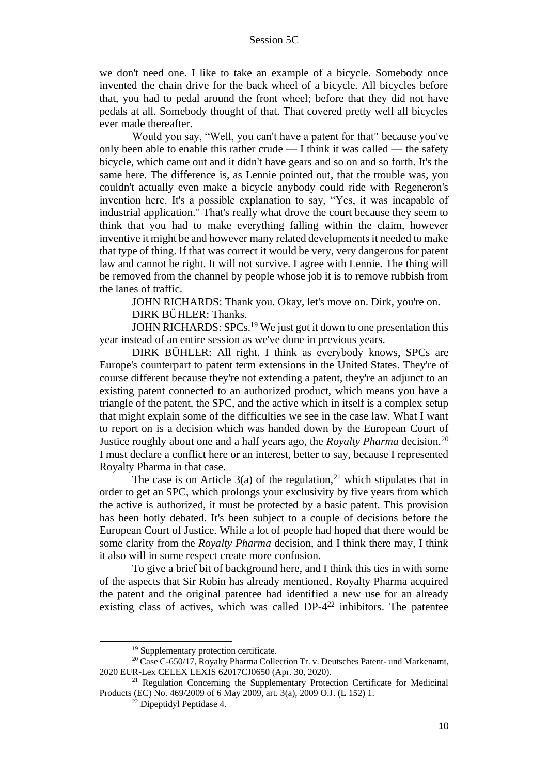we don't need one. I like to take an example of a bicycle. Somebody once invented the chain drive for the back wheel of a bicycle. All bicycles before that, you had to pedal around the front wheel; before that they did not have pedals at all. Somebody thought of that. That covered pretty well all bicycles ever made thereafter.

Would you say, "Well, you can't have a patent for that" because you've only been able to enable this rather crude  $\overline{ }$  = I think it was called  $\overline{ }$  the safety bicycle, which came out and it didn't have gears and so on and so forth. It's the same here. The difference is, as Lennie pointed out, that the trouble was, you couldn't actually even make a bicycle anybody could ride with Regeneron's invention here. It's a possible explanation to say, "Yes, it was incapable of industrial application." That's really what drove the court because they seem to think that you had to make everything falling within the claim, however inventive it might be and however many related developments it needed to make that type of thing. If that was correct it would be very, very dangerous for patent law and cannot be right. It will not survive. I agree with Lennie. The thing will be removed from the channel by people whose job it is to remove rubbish from the lanes of traffic.

JOHN RICHARDS: Thank you. Okay, let's move on. Dirk, you're on.

DIRK BÜHLER: Thanks.

JOHN RICHARDS: SPCs.<sup>19</sup> We just got it down to one presentation this year instead of an entire session as we've done in previous years.

DIRK BÜHLER: All right. I think as everybody knows, SPCs are Europe's counterpart to patent term extensions in the United States. They're of course different because they're not extending a patent, they're an adjunct to an existing patent connected to an authorized product, which means you have a triangle of the patent, the SPC, and the active which in itself is a complex setup that might explain some of the difficulties we see in the case law. What I want to report on is a decision which was handed down by the European Court of Justice roughly about one and a half years ago, the *Royalty Pharma* decision. 20 I must declare a conflict here or an interest, better to say, because I represented Royalty Pharma in that case.

The case is on Article  $3(a)$  of the regulation,<sup>21</sup> which stipulates that in order to get an SPC, which prolongs your exclusivity by five years from which the active is authorized, it must be protected by a basic patent. This provision has been hotly debated. It's been subject to a couple of decisions before the European Court of Justice. While a lot of people had hoped that there would be some clarity from the *Royalty Pharma* decision, and I think there may, I think it also will in some respect create more confusion.

To give a brief bit of background here, and I think this ties in with some of the aspects that Sir Robin has already mentioned, Royalty Pharma acquired the patent and the original patentee had identified a new use for an already existing class of actives, which was called DP-4<sup>22</sup> inhibitors. The patentee

<sup>19</sup> Supplementary protection certificate.

<sup>&</sup>lt;sup>20</sup> Case C-650/17, Royalty Pharma Collection Tr. v. Deutsches Patent- und Markenamt, 2020 EUR-Lex CELEX LEXIS 62017CJ0650 (Apr. 30, 2020).

<sup>&</sup>lt;sup>21</sup> Regulation Concerning the Supplementary Protection Certificate for Medicinal Products (EC) No. 469/2009 of 6 May 2009, art. 3(a), 2009 O.J. (L 152) 1.

<sup>22</sup> Dipeptidyl Peptidase 4.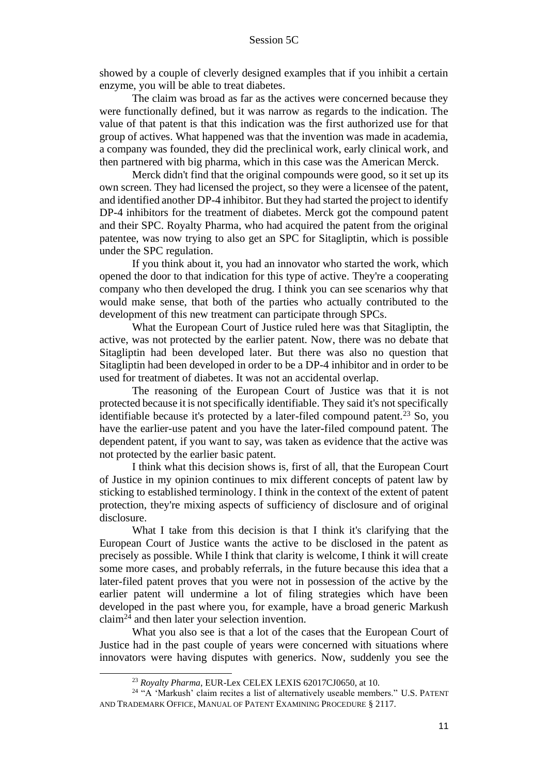showed by a couple of cleverly designed examples that if you inhibit a certain enzyme, you will be able to treat diabetes.

The claim was broad as far as the actives were concerned because they were functionally defined, but it was narrow as regards to the indication. The value of that patent is that this indication was the first authorized use for that group of actives. What happened was that the invention was made in academia, a company was founded, they did the preclinical work, early clinical work, and then partnered with big pharma, which in this case was the American Merck.

Merck didn't find that the original compounds were good, so it set up its own screen. They had licensed the project, so they were a licensee of the patent, and identified another DP-4 inhibitor. But they had started the project to identify DP-4 inhibitors for the treatment of diabetes. Merck got the compound patent and their SPC. Royalty Pharma, who had acquired the patent from the original patentee, was now trying to also get an SPC for Sitagliptin, which is possible under the SPC regulation.

If you think about it, you had an innovator who started the work, which opened the door to that indication for this type of active. They're a cooperating company who then developed the drug. I think you can see scenarios why that would make sense, that both of the parties who actually contributed to the development of this new treatment can participate through SPCs.

What the European Court of Justice ruled here was that Sitagliptin, the active, was not protected by the earlier patent. Now, there was no debate that Sitagliptin had been developed later. But there was also no question that Sitagliptin had been developed in order to be a DP-4 inhibitor and in order to be used for treatment of diabetes. It was not an accidental overlap.

The reasoning of the European Court of Justice was that it is not protected because it is not specifically identifiable. They said it's not specifically identifiable because it's protected by a later-filed compound patent.<sup>23</sup> So, you have the earlier-use patent and you have the later-filed compound patent. The dependent patent, if you want to say, was taken as evidence that the active was not protected by the earlier basic patent.

I think what this decision shows is, first of all, that the European Court of Justice in my opinion continues to mix different concepts of patent law by sticking to established terminology. I think in the context of the extent of patent protection, they're mixing aspects of sufficiency of disclosure and of original disclosure.

What I take from this decision is that I think it's clarifying that the European Court of Justice wants the active to be disclosed in the patent as precisely as possible. While I think that clarity is welcome, I think it will create some more cases, and probably referrals, in the future because this idea that a later-filed patent proves that you were not in possession of the active by the earlier patent will undermine a lot of filing strategies which have been developed in the past where you, for example, have a broad generic Markush claim<sup>24</sup> and then later your selection invention.

What you also see is that a lot of the cases that the European Court of Justice had in the past couple of years were concerned with situations where innovators were having disputes with generics. Now, suddenly you see the

<sup>23</sup> *Royalty Pharma*, EUR-Lex CELEX LEXIS 62017CJ0650, at 10.

<sup>&</sup>lt;sup>24</sup> "A 'Markush' claim recites a list of alternatively useable members." U.S. PATENT AND TRADEMARK OFFICE, MANUAL OF PATENT EXAMINING PROCEDURE § 2117.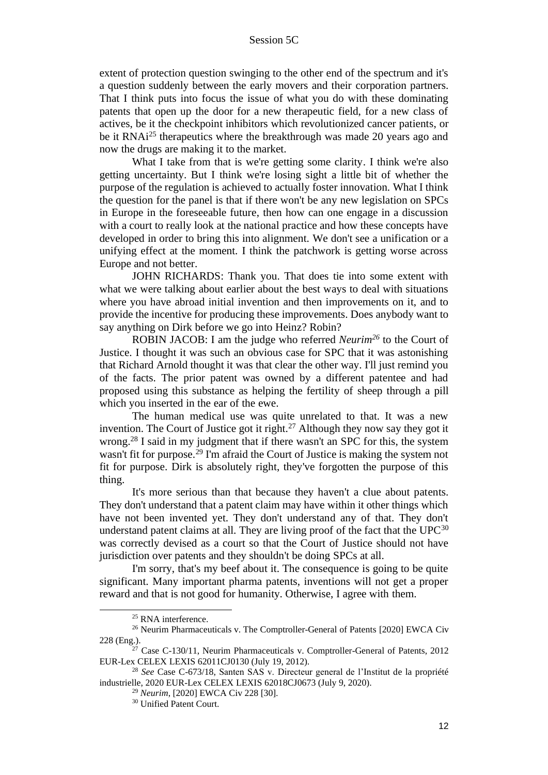extent of protection question swinging to the other end of the spectrum and it's a question suddenly between the early movers and their corporation partners. That I think puts into focus the issue of what you do with these dominating patents that open up the door for a new therapeutic field, for a new class of actives, be it the checkpoint inhibitors which revolutionized cancer patients, or be it RNAi<sup>25</sup> therapeutics where the breakthrough was made 20 years ago and now the drugs are making it to the market.

What I take from that is we're getting some clarity. I think we're also getting uncertainty. But I think we're losing sight a little bit of whether the purpose of the regulation is achieved to actually foster innovation. What I think the question for the panel is that if there won't be any new legislation on SPCs in Europe in the foreseeable future, then how can one engage in a discussion with a court to really look at the national practice and how these concepts have developed in order to bring this into alignment. We don't see a unification or a unifying effect at the moment. I think the patchwork is getting worse across Europe and not better.

JOHN RICHARDS: Thank you. That does tie into some extent with what we were talking about earlier about the best ways to deal with situations where you have abroad initial invention and then improvements on it, and to provide the incentive for producing these improvements. Does anybody want to say anything on Dirk before we go into Heinz? Robin?

ROBIN JACOB: I am the judge who referred *Neurim<sup>26</sup>* to the Court of Justice. I thought it was such an obvious case for SPC that it was astonishing that Richard Arnold thought it was that clear the other way. I'll just remind you of the facts. The prior patent was owned by a different patentee and had proposed using this substance as helping the fertility of sheep through a pill which you inserted in the ear of the ewe.

The human medical use was quite unrelated to that. It was a new invention. The Court of Justice got it right. $27$  Although they now say they got it wrong.<sup>28</sup> I said in my judgment that if there wasn't an SPC for this, the system wasn't fit for purpose.<sup>29</sup> I'm afraid the Court of Justice is making the system not fit for purpose. Dirk is absolutely right, they've forgotten the purpose of this thing.

It's more serious than that because they haven't a clue about patents. They don't understand that a patent claim may have within it other things which have not been invented yet. They don't understand any of that. They don't understand patent claims at all. They are living proof of the fact that the  $UPC^{30}$ was correctly devised as a court so that the Court of Justice should not have jurisdiction over patents and they shouldn't be doing SPCs at all.

I'm sorry, that's my beef about it. The consequence is going to be quite significant. Many important pharma patents, inventions will not get a proper reward and that is not good for humanity. Otherwise, I agree with them.

<sup>&</sup>lt;sup>25</sup> RNA interference.

<sup>&</sup>lt;sup>26</sup> Neurim Pharmaceuticals v. The Comptroller-General of Patents [2020] EWCA Civ 228 (Eng.).

 $27$  Case C-130/11, Neurim Pharmaceuticals v. Comptroller-General of Patents, 2012 EUR-Lex CELEX LEXIS 62011CJ0130 (July 19, 2012).

<sup>28</sup> *See* Case C-673/18, Santen SAS v. Directeur general de l'Institut de la propriété industrielle, 2020 EUR-Lex CELEX LEXIS 62018CJ0673 (July 9, 2020).

<sup>29</sup> *Neurim*, [2020] EWCA Civ 228 [30].

<sup>&</sup>lt;sup>30</sup> Unified Patent Court.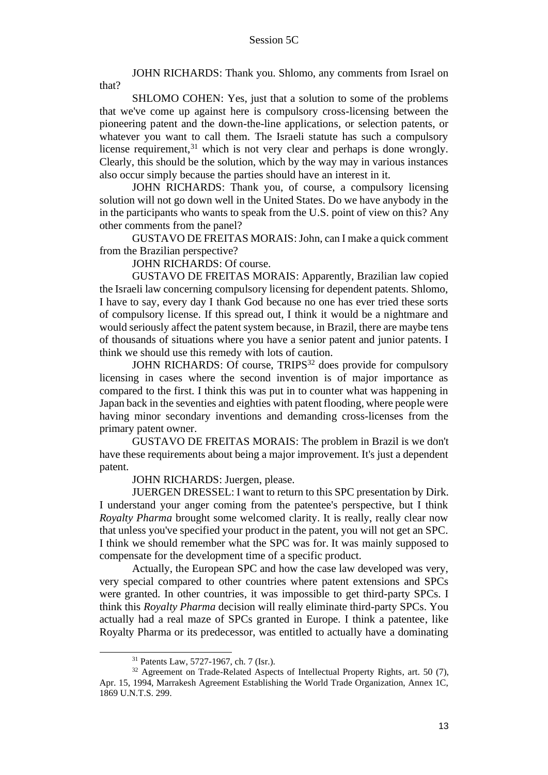JOHN RICHARDS: Thank you. Shlomo, any comments from Israel on that?

SHLOMO COHEN: Yes, just that a solution to some of the problems that we've come up against here is compulsory cross-licensing between the pioneering patent and the down-the-line applications, or selection patents, or whatever you want to call them. The Israeli statute has such a compulsory license requirement,<sup>31</sup> which is not very clear and perhaps is done wrongly. Clearly, this should be the solution, which by the way may in various instances also occur simply because the parties should have an interest in it.

JOHN RICHARDS: Thank you, of course, a compulsory licensing solution will not go down well in the United States. Do we have anybody in the in the participants who wants to speak from the U.S. point of view on this? Any other comments from the panel?

GUSTAVO DE FREITAS MORAIS: John, can I make a quick comment from the Brazilian perspective?

JOHN RICHARDS: Of course.

GUSTAVO DE FREITAS MORAIS: Apparently, Brazilian law copied the Israeli law concerning compulsory licensing for dependent patents. Shlomo, I have to say, every day I thank God because no one has ever tried these sorts of compulsory license. If this spread out, I think it would be a nightmare and would seriously affect the patent system because, in Brazil, there are maybe tens of thousands of situations where you have a senior patent and junior patents. I think we should use this remedy with lots of caution.

JOHN RICHARDS: Of course, TRIPS<sup>32</sup> does provide for compulsory licensing in cases where the second invention is of major importance as compared to the first. I think this was put in to counter what was happening in Japan back in the seventies and eighties with patent flooding, where people were having minor secondary inventions and demanding cross-licenses from the primary patent owner.

GUSTAVO DE FREITAS MORAIS: The problem in Brazil is we don't have these requirements about being a major improvement. It's just a dependent patent.

JOHN RICHARDS: Juergen, please.

JUERGEN DRESSEL: I want to return to this SPC presentation by Dirk. I understand your anger coming from the patentee's perspective, but I think *Royalty Pharma* brought some welcomed clarity. It is really, really clear now that unless you've specified your product in the patent, you will not get an SPC. I think we should remember what the SPC was for. It was mainly supposed to compensate for the development time of a specific product.

Actually, the European SPC and how the case law developed was very, very special compared to other countries where patent extensions and SPCs were granted. In other countries, it was impossible to get third-party SPCs. I think this *Royalty Pharma* decision will really eliminate third-party SPCs. You actually had a real maze of SPCs granted in Europe. I think a patentee, like Royalty Pharma or its predecessor, was entitled to actually have a dominating

<sup>31</sup> Patents Law, 5727-1967, ch. 7 (Isr.).

<sup>&</sup>lt;sup>32</sup> Agreement on Trade-Related Aspects of Intellectual Property Rights, art. 50 (7), Apr. 15, 1994, Marrakesh Agreement Establishing the World Trade Organization, Annex 1C, 1869 U.N.T.S. 299.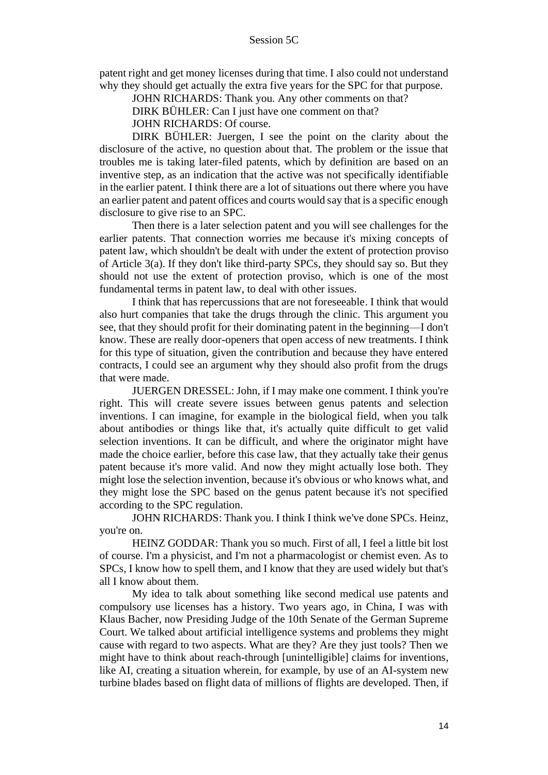patent right and get money licenses during that time. I also could not understand why they should get actually the extra five years for the SPC for that purpose.

JOHN RICHARDS: Thank you. Any other comments on that?

DIRK BÜHLER: Can I just have one comment on that?

JOHN RICHARDS: Of course.

DIRK BÜHLER: Juergen, I see the point on the clarity about the disclosure of the active, no question about that. The problem or the issue that troubles me is taking later-filed patents, which by definition are based on an inventive step, as an indication that the active was not specifically identifiable in the earlier patent. I think there are a lot of situations out there where you have an earlier patent and patent offices and courts would say that is a specific enough disclosure to give rise to an SPC.

Then there is a later selection patent and you will see challenges for the earlier patents. That connection worries me because it's mixing concepts of patent law, which shouldn't be dealt with under the extent of protection proviso of Article 3(a). If they don't like third-party SPCs, they should say so. But they should not use the extent of protection proviso, which is one of the most fundamental terms in patent law, to deal with other issues.

I think that has repercussions that are not foreseeable. I think that would also hurt companies that take the drugs through the clinic. This argument you see, that they should profit for their dominating patent in the beginning—I don't know. These are really door-openers that open access of new treatments. I think for this type of situation, given the contribution and because they have entered contracts, I could see an argument why they should also profit from the drugs that were made.

JUERGEN DRESSEL: John, if I may make one comment. I think you're right. This will create severe issues between genus patents and selection inventions. I can imagine, for example in the biological field, when you talk about antibodies or things like that, it's actually quite difficult to get valid selection inventions. It can be difficult, and where the originator might have made the choice earlier, before this case law, that they actually take their genus patent because it's more valid. And now they might actually lose both. They might lose the selection invention, because it's obvious or who knows what, and they might lose the SPC based on the genus patent because it's not specified according to the SPC regulation.

JOHN RICHARDS: Thank you. I think I think we've done SPCs. Heinz, you're on.

HEINZ GODDAR: Thank you so much. First of all, I feel a little bit lost of course. I'm a physicist, and I'm not a pharmacologist or chemist even. As to SPCs, I know how to spell them, and I know that they are used widely but that's all I know about them.

My idea to talk about something like second medical use patents and compulsory use licenses has a history. Two years ago, in China, I was with Klaus Bacher, now Presiding Judge of the 10th Senate of the German Supreme Court. We talked about artificial intelligence systems and problems they might cause with regard to two aspects. What are they? Are they just tools? Then we might have to think about reach-through [unintelligible] claims for inventions, like AI, creating a situation wherein, for example, by use of an AI-system new turbine blades based on flight data of millions of flights are developed. Then, if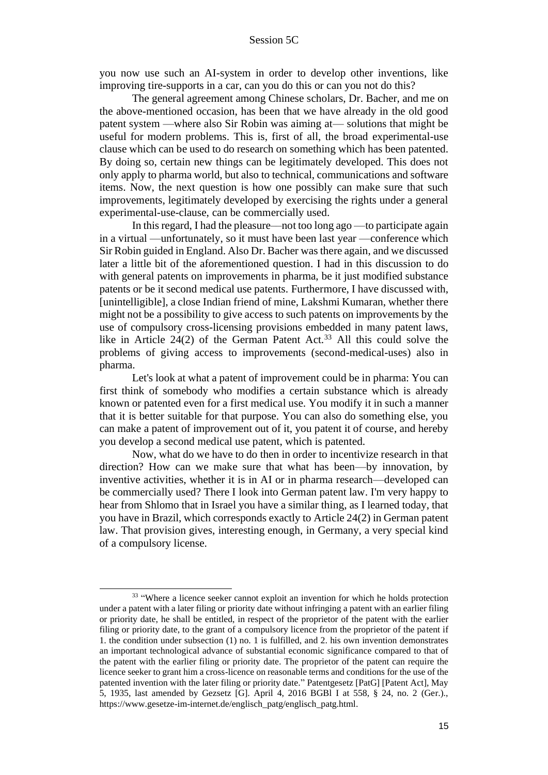you now use such an AI-system in order to develop other inventions, like improving tire-supports in a car, can you do this or can you not do this?

The general agreement among Chinese scholars, Dr. Bacher, and me on the above-mentioned occasion, has been that we have already in the old good patent system —where also Sir Robin was aiming at— solutions that might be useful for modern problems. This is, first of all, the broad experimental-use clause which can be used to do research on something which has been patented. By doing so, certain new things can be legitimately developed. This does not only apply to pharma world, but also to technical, communications and software items. Now, the next question is how one possibly can make sure that such improvements, legitimately developed by exercising the rights under a general experimental-use-clause, can be commercially used.

In this regard, I had the pleasure—not too long ago —to participate again in a virtual —unfortunately, so it must have been last year —conference which Sir Robin guided in England. Also Dr. Bacher was there again, and we discussed later a little bit of the aforementioned question. I had in this discussion to do with general patents on improvements in pharma, be it just modified substance patents or be it second medical use patents. Furthermore, I have discussed with, [unintelligible], a close Indian friend of mine, Lakshmi Kumaran, whether there might not be a possibility to give access to such patents on improvements by the use of compulsory cross-licensing provisions embedded in many patent laws, like in Article  $24(2)$  of the German Patent Act.<sup>33</sup> All this could solve the problems of giving access to improvements (second-medical-uses) also in pharma.

Let's look at what a patent of improvement could be in pharma: You can first think of somebody who modifies a certain substance which is already known or patented even for a first medical use. You modify it in such a manner that it is better suitable for that purpose. You can also do something else, you can make a patent of improvement out of it, you patent it of course, and hereby you develop a second medical use patent, which is patented.

Now, what do we have to do then in order to incentivize research in that direction? How can we make sure that what has been—by innovation, by inventive activities, whether it is in AI or in pharma research—developed can be commercially used? There I look into German patent law. I'm very happy to hear from Shlomo that in Israel you have a similar thing, as I learned today, that you have in Brazil, which corresponds exactly to Article 24(2) in German patent law. That provision gives, interesting enough, in Germany, a very special kind of a compulsory license.

<sup>&</sup>lt;sup>33</sup> "Where a licence seeker cannot exploit an invention for which he holds protection under a patent with a later filing or priority date without infringing a patent with an earlier filing or priority date, he shall be entitled, in respect of the proprietor of the patent with the earlier filing or priority date, to the grant of a compulsory licence from the proprietor of the patent if 1. the condition under subsection (1) no. 1 is fulfilled, and 2. his own invention demonstrates an important technological advance of substantial economic significance compared to that of the patent with the earlier filing or priority date. The proprietor of the patent can require the licence seeker to grant him a cross-licence on reasonable terms and conditions for the use of the patented invention with the later filing or priority date." Patentgesetz [PatG] [Patent Act], May 5, 1935, last amended by Gezsetz [G]. April 4, 2016 BGBl I at 558, § 24, no. 2 (Ger.)., https://www.gesetze-im-internet.de/englisch\_patg/englisch\_patg.html.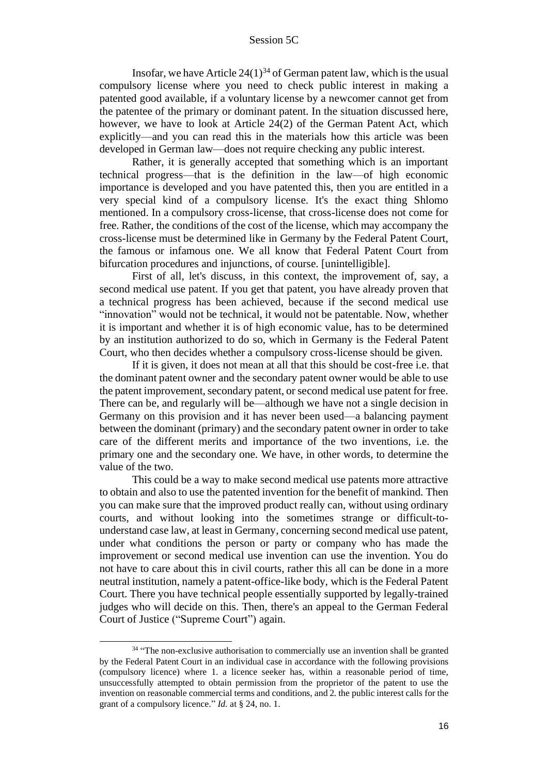Insofar, we have Article  $24(1)^{34}$  of German patent law, which is the usual compulsory license where you need to check public interest in making a patented good available, if a voluntary license by a newcomer cannot get from the patentee of the primary or dominant patent. In the situation discussed here, however, we have to look at Article 24(2) of the German Patent Act, which explicitly—and you can read this in the materials how this article was been developed in German law—does not require checking any public interest.

Rather, it is generally accepted that something which is an important technical progress—that is the definition in the law—of high economic importance is developed and you have patented this, then you are entitled in a very special kind of a compulsory license. It's the exact thing Shlomo mentioned. In a compulsory cross-license, that cross-license does not come for free. Rather, the conditions of the cost of the license, which may accompany the cross-license must be determined like in Germany by the Federal Patent Court, the famous or infamous one. We all know that Federal Patent Court from bifurcation procedures and injunctions, of course. [unintelligible].

First of all, let's discuss, in this context, the improvement of, say, a second medical use patent. If you get that patent, you have already proven that a technical progress has been achieved, because if the second medical use "innovation" would not be technical, it would not be patentable. Now, whether it is important and whether it is of high economic value, has to be determined by an institution authorized to do so, which in Germany is the Federal Patent Court, who then decides whether a compulsory cross-license should be given.

If it is given, it does not mean at all that this should be cost-free i.e. that the dominant patent owner and the secondary patent owner would be able to use the patent improvement, secondary patent, or second medical use patent for free. There can be, and regularly will be—although we have not a single decision in Germany on this provision and it has never been used—a balancing payment between the dominant (primary) and the secondary patent owner in order to take care of the different merits and importance of the two inventions, i.e. the primary one and the secondary one. We have, in other words, to determine the value of the two.

This could be a way to make second medical use patents more attractive to obtain and also to use the patented invention for the benefit of mankind. Then you can make sure that the improved product really can, without using ordinary courts, and without looking into the sometimes strange or difficult-tounderstand case law, at least in Germany, concerning second medical use patent, under what conditions the person or party or company who has made the improvement or second medical use invention can use the invention. You do not have to care about this in civil courts, rather this all can be done in a more neutral institution, namely a patent-office-like body, which is the Federal Patent Court. There you have technical people essentially supported by legally-trained judges who will decide on this. Then, there's an appeal to the German Federal Court of Justice ("Supreme Court") again.

<sup>&</sup>lt;sup>34</sup> "The non-exclusive authorisation to commercially use an invention shall be granted by the Federal Patent Court in an individual case in accordance with the following provisions (compulsory licence) where 1. a licence seeker has, within a reasonable period of time, unsuccessfully attempted to obtain permission from the proprietor of the patent to use the invention on reasonable commercial terms and conditions, and 2. the public interest calls for the grant of a compulsory licence." *Id.* at § 24, no. 1.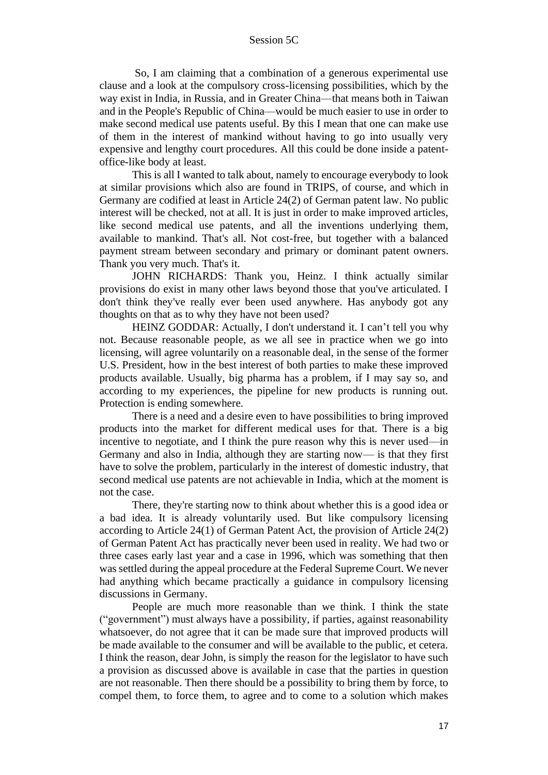So, I am claiming that a combination of a generous experimental use clause and a look at the compulsory cross-licensing possibilities, which by the way exist in India, in Russia, and in Greater China––that means both in Taiwan and in the People's Republic of China––would be much easier to use in order to make second medical use patents useful. By this I mean that one can make use of them in the interest of mankind without having to go into usually very expensive and lengthy court procedures. All this could be done inside a patentoffice-like body at least.

This is all I wanted to talk about, namely to encourage everybody to look at similar provisions which also are found in TRIPS, of course, and which in Germany are codified at least in Article 24(2) of German patent law. No public interest will be checked, not at all. It is just in order to make improved articles, like second medical use patents, and all the inventions underlying them, available to mankind. That's all. Not cost-free, but together with a balanced payment stream between secondary and primary or dominant patent owners. Thank you very much. That's it.

JOHN RICHARDS: Thank you, Heinz. I think actually similar provisions do exist in many other laws beyond those that you've articulated. I don't think they've really ever been used anywhere. Has anybody got any thoughts on that as to why they have not been used?

HEINZ GODDAR: Actually, I don't understand it. I can't tell you why not. Because reasonable people, as we all see in practice when we go into licensing, will agree voluntarily on a reasonable deal, in the sense of the former U.S. President, how in the best interest of both parties to make these improved products available. Usually, big pharma has a problem, if I may say so, and according to my experiences, the pipeline for new products is running out. Protection is ending somewhere.

There is a need and a desire even to have possibilities to bring improved products into the market for different medical uses for that. There is a big incentive to negotiate, and I think the pure reason why this is never used—in Germany and also in India, although they are starting now— is that they first have to solve the problem, particularly in the interest of domestic industry, that second medical use patents are not achievable in India, which at the moment is not the case.

There, they're starting now to think about whether this is a good idea or a bad idea. It is already voluntarily used. But like compulsory licensing according to Article 24(1) of German Patent Act, the provision of Article 24(2) of German Patent Act has practically never been used in reality. We had two or three cases early last year and a case in 1996, which was something that then was settled during the appeal procedure at the Federal Supreme Court. We never had anything which became practically a guidance in compulsory licensing discussions in Germany.

People are much more reasonable than we think. I think the state ("government") must always have a possibility, if parties, against reasonability whatsoever, do not agree that it can be made sure that improved products will be made available to the consumer and will be available to the public, et cetera. I think the reason, dear John, is simply the reason for the legislator to have such a provision as discussed above is available in case that the parties in question are not reasonable. Then there should be a possibility to bring them by force, to compel them, to force them, to agree and to come to a solution which makes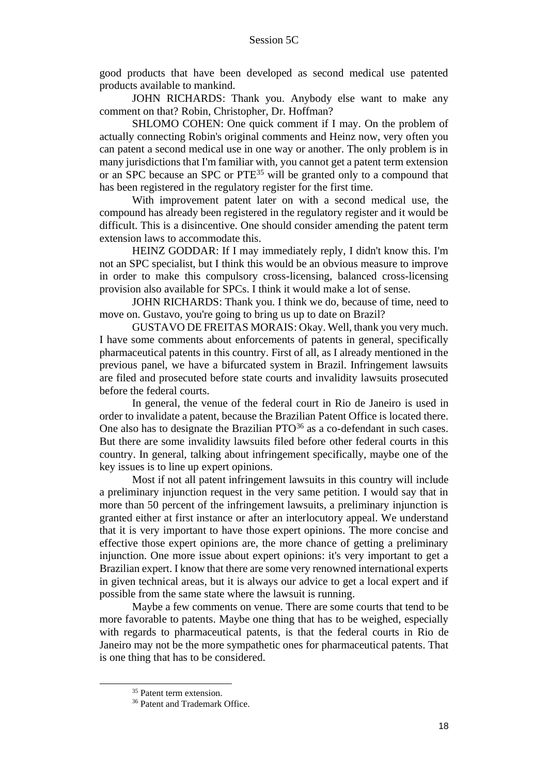good products that have been developed as second medical use patented products available to mankind.

JOHN RICHARDS: Thank you. Anybody else want to make any comment on that? Robin, Christopher, Dr. Hoffman?

SHLOMO COHEN: One quick comment if I may. On the problem of actually connecting Robin's original comments and Heinz now, very often you can patent a second medical use in one way or another. The only problem is in many jurisdictions that I'm familiar with, you cannot get a patent term extension or an SPC because an SPC or PTE<sup>35</sup> will be granted only to a compound that has been registered in the regulatory register for the first time.

With improvement patent later on with a second medical use, the compound has already been registered in the regulatory register and it would be difficult. This is a disincentive. One should consider amending the patent term extension laws to accommodate this.

HEINZ GODDAR: If I may immediately reply, I didn't know this. I'm not an SPC specialist, but I think this would be an obvious measure to improve in order to make this compulsory cross-licensing, balanced cross-licensing provision also available for SPCs. I think it would make a lot of sense.

JOHN RICHARDS: Thank you. I think we do, because of time, need to move on. Gustavo, you're going to bring us up to date on Brazil?

GUSTAVO DE FREITAS MORAIS: Okay. Well, thank you very much. I have some comments about enforcements of patents in general, specifically pharmaceutical patents in this country. First of all, as I already mentioned in the previous panel, we have a bifurcated system in Brazil. Infringement lawsuits are filed and prosecuted before state courts and invalidity lawsuits prosecuted before the federal courts.

In general, the venue of the federal court in Rio de Janeiro is used in order to invalidate a patent, because the Brazilian Patent Office is located there. One also has to designate the Brazilian  $PTO<sup>36</sup>$  as a co-defendant in such cases. But there are some invalidity lawsuits filed before other federal courts in this country. In general, talking about infringement specifically, maybe one of the key issues is to line up expert opinions.

Most if not all patent infringement lawsuits in this country will include a preliminary injunction request in the very same petition. I would say that in more than 50 percent of the infringement lawsuits, a preliminary injunction is granted either at first instance or after an interlocutory appeal. We understand that it is very important to have those expert opinions. The more concise and effective those expert opinions are, the more chance of getting a preliminary injunction. One more issue about expert opinions: it's very important to get a Brazilian expert. I know that there are some very renowned international experts in given technical areas, but it is always our advice to get a local expert and if possible from the same state where the lawsuit is running.

Maybe a few comments on venue. There are some courts that tend to be more favorable to patents. Maybe one thing that has to be weighed, especially with regards to pharmaceutical patents, is that the federal courts in Rio de Janeiro may not be the more sympathetic ones for pharmaceutical patents. That is one thing that has to be considered.

<sup>&</sup>lt;sup>35</sup> Patent term extension.

<sup>&</sup>lt;sup>36</sup> Patent and Trademark Office.